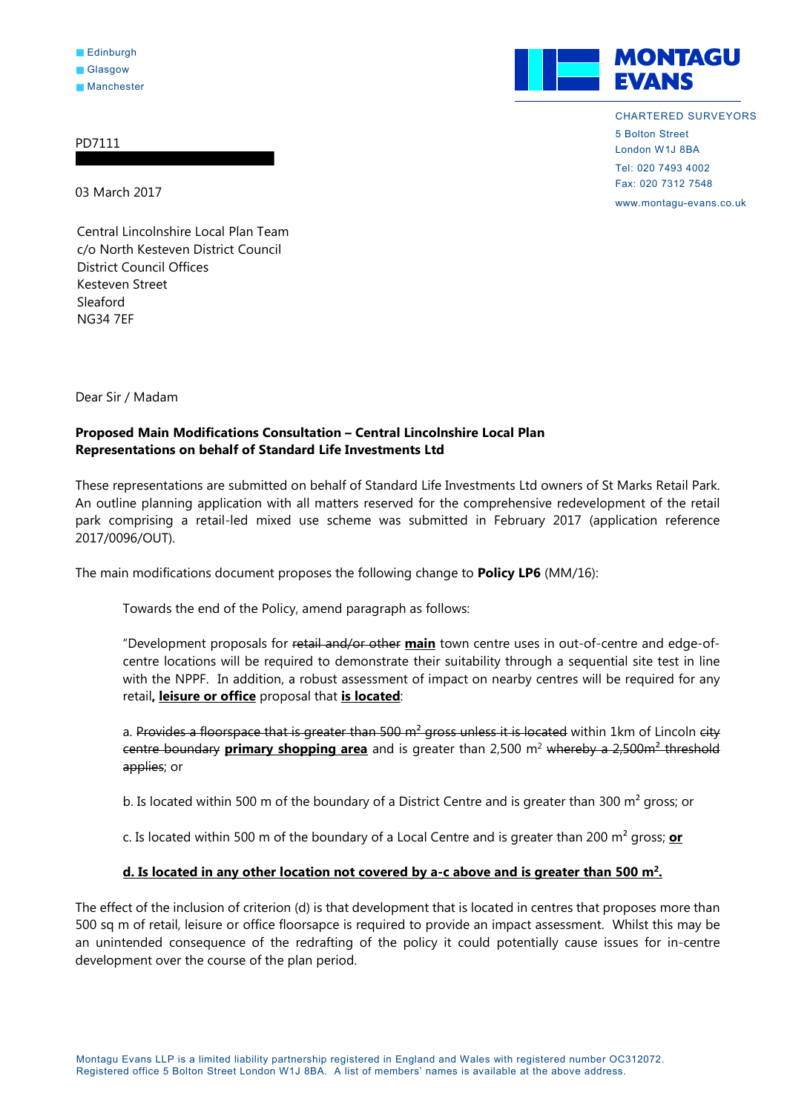## PD7111

03 March 2017

**MONTAGU EVANS** 

> CHARTERED SURVEYORS 5 Bolton Street London W1J 8BA Tel: 020 7493 4002 Fax: 020 7312 7548

www.montagu-evans.co.uk

Central Lincolnshire Local Plan Team c/o North Kesteven District Council District Council Offices Kesteven Street Sleaford NG34 7EF

Dear Sir / Madam

## **Proposed Main Modifications Consultation – Central Lincolnshire Local Plan Representations on behalf of Standard Life Investments Ltd**

These representations are submitted on behalf of Standard Life Investments Ltd owners of St Marks Retail Park. An outline planning application with all matters reserved for the comprehensive redevelopment of the retail park comprising a retail-led mixed use scheme was submitted in February 2017 (application reference 2017/0096/OUT).

The main modifications document proposes the following change to **Policy LP6** (MM/16):

Towards the end of the Policy, amend paragraph as follows:

"Development proposals for retail and/or other **main** town centre uses in out-of-centre and edge-ofcentre locations will be required to demonstrate their suitability through a sequential site test in line with the NPPF. In addition, a robust assessment of impact on nearby centres will be required for any retail**, leisure or office** proposal that **is located**:

a. Provides a floorspace that is greater than 500  $m^2$  gross unless it is located within 1km of Lincoln city centre boundary **primary shopping area** and is greater than 2,500 m2 whereby a 2,500m² threshold applies; or

b. Is located within 500 m of the boundary of a District Centre and is greater than 300 m<sup>2</sup> gross; or

c. Is located within 500 m of the boundary of a Local Centre and is greater than 200 m² gross; **or** 

## **d. Is located in any other location not covered by a-c above and is greater than 500 m2.**

The effect of the inclusion of criterion (d) is that development that is located in centres that proposes more than 500 sq m of retail, leisure or office floorsapce is required to provide an impact assessment. Whilst this may be an unintended consequence of the redrafting of the policy it could potentially cause issues for in-centre development over the course of the plan period.